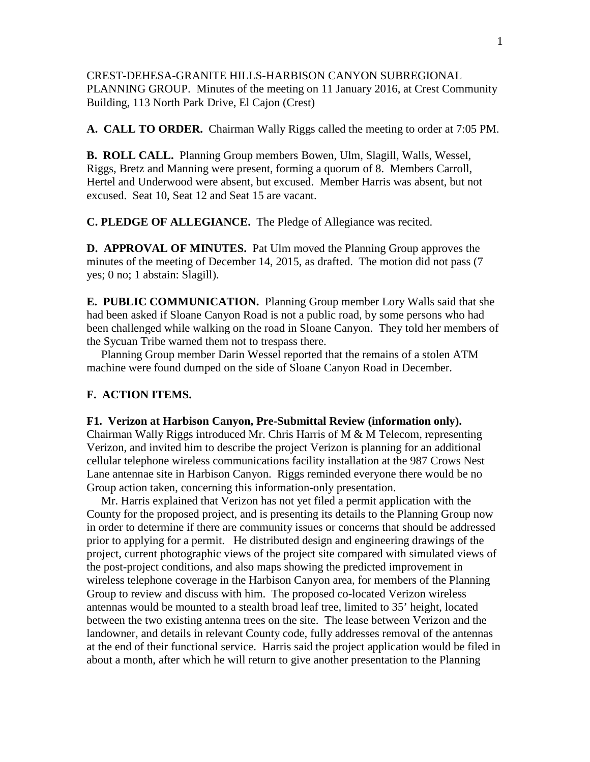CREST-DEHESA-GRANITE HILLS-HARBISON CANYON SUBREGIONAL PLANNING GROUP. Minutes of the meeting on 11 January 2016, at Crest Community Building, 113 North Park Drive, El Cajon (Crest)

**A. CALL TO ORDER.** Chairman Wally Riggs called the meeting to order at 7:05 PM.

**B. ROLL CALL.** Planning Group members Bowen, Ulm, Slagill, Walls, Wessel, Riggs, Bretz and Manning were present, forming a quorum of 8. Members Carroll, Hertel and Underwood were absent, but excused. Member Harris was absent, but not excused. Seat 10, Seat 12 and Seat 15 are vacant.

**C. PLEDGE OF ALLEGIANCE.** The Pledge of Allegiance was recited.

**D. APPROVAL OF MINUTES.** Pat Ulm moved the Planning Group approves the minutes of the meeting of December 14, 2015, as drafted. The motion did not pass (7 yes; 0 no; 1 abstain: Slagill).

**E. PUBLIC COMMUNICATION.** Planning Group member Lory Walls said that she had been asked if Sloane Canyon Road is not a public road, by some persons who had been challenged while walking on the road in Sloane Canyon. They told her members of the Sycuan Tribe warned them not to trespass there.

 Planning Group member Darin Wessel reported that the remains of a stolen ATM machine were found dumped on the side of Sloane Canyon Road in December.

## **F. ACTION ITEMS.**

## **F1. Verizon at Harbison Canyon, Pre-Submittal Review (information only).**

Chairman Wally Riggs introduced Mr. Chris Harris of M  $\&$  M Telecom, representing Verizon, and invited him to describe the project Verizon is planning for an additional cellular telephone wireless communications facility installation at the 987 Crows Nest Lane antennae site in Harbison Canyon. Riggs reminded everyone there would be no Group action taken, concerning this information-only presentation.

 Mr. Harris explained that Verizon has not yet filed a permit application with the County for the proposed project, and is presenting its details to the Planning Group now in order to determine if there are community issues or concerns that should be addressed prior to applying for a permit. He distributed design and engineering drawings of the project, current photographic views of the project site compared with simulated views of the post-project conditions, and also maps showing the predicted improvement in wireless telephone coverage in the Harbison Canyon area, for members of the Planning Group to review and discuss with him. The proposed co-located Verizon wireless antennas would be mounted to a stealth broad leaf tree, limited to 35' height, located between the two existing antenna trees on the site. The lease between Verizon and the landowner, and details in relevant County code, fully addresses removal of the antennas at the end of their functional service. Harris said the project application would be filed in about a month, after which he will return to give another presentation to the Planning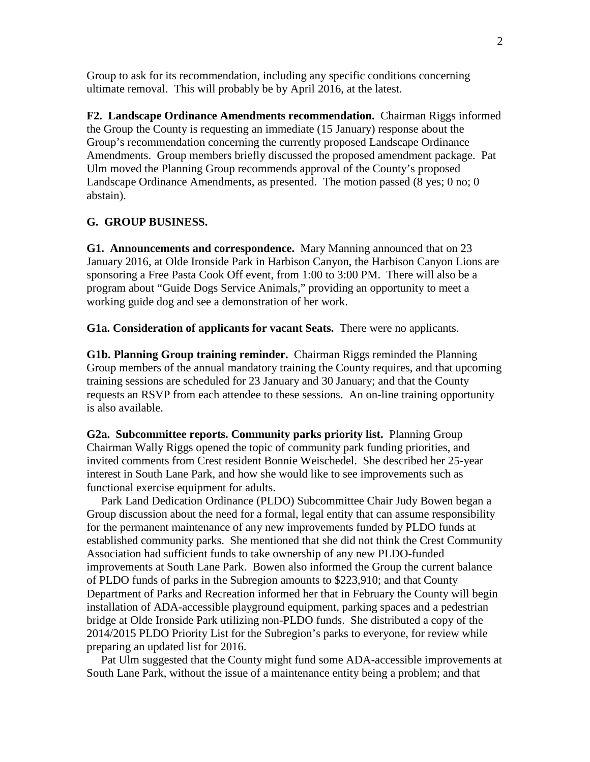Group to ask for its recommendation, including any specific conditions concerning ultimate removal. This will probably be by April 2016, at the latest.

**F2. Landscape Ordinance Amendments recommendation.** Chairman Riggs informed the Group the County is requesting an immediate (15 January) response about the Group's recommendation concerning the currently proposed Landscape Ordinance Amendments. Group members briefly discussed the proposed amendment package. Pat Ulm moved the Planning Group recommends approval of the County's proposed Landscape Ordinance Amendments, as presented. The motion passed (8 yes; 0 no; 0 abstain).

## **G. GROUP BUSINESS.**

**G1. Announcements and correspondence.** Mary Manning announced that on 23 January 2016, at Olde Ironside Park in Harbison Canyon, the Harbison Canyon Lions are sponsoring a Free Pasta Cook Off event, from 1:00 to 3:00 PM. There will also be a program about "Guide Dogs Service Animals," providing an opportunity to meet a working guide dog and see a demonstration of her work.

**G1a. Consideration of applicants for vacant Seats.** There were no applicants.

**G1b. Planning Group training reminder.** Chairman Riggs reminded the Planning Group members of the annual mandatory training the County requires, and that upcoming training sessions are scheduled for 23 January and 30 January; and that the County requests an RSVP from each attendee to these sessions. An on-line training opportunity is also available.

**G2a. Subcommittee reports. Community parks priority list.** Planning Group Chairman Wally Riggs opened the topic of community park funding priorities, and invited comments from Crest resident Bonnie Weischedel. She described her 25-year interest in South Lane Park, and how she would like to see improvements such as functional exercise equipment for adults.

 Park Land Dedication Ordinance (PLDO) Subcommittee Chair Judy Bowen began a Group discussion about the need for a formal, legal entity that can assume responsibility for the permanent maintenance of any new improvements funded by PLDO funds at established community parks. She mentioned that she did not think the Crest Community Association had sufficient funds to take ownership of any new PLDO-funded improvements at South Lane Park. Bowen also informed the Group the current balance of PLDO funds of parks in the Subregion amounts to \$223,910; and that County Department of Parks and Recreation informed her that in February the County will begin installation of ADA-accessible playground equipment, parking spaces and a pedestrian bridge at Olde Ironside Park utilizing non-PLDO funds. She distributed a copy of the 2014/2015 PLDO Priority List for the Subregion's parks to everyone, for review while preparing an updated list for 2016.

 Pat Ulm suggested that the County might fund some ADA-accessible improvements at South Lane Park, without the issue of a maintenance entity being a problem; and that